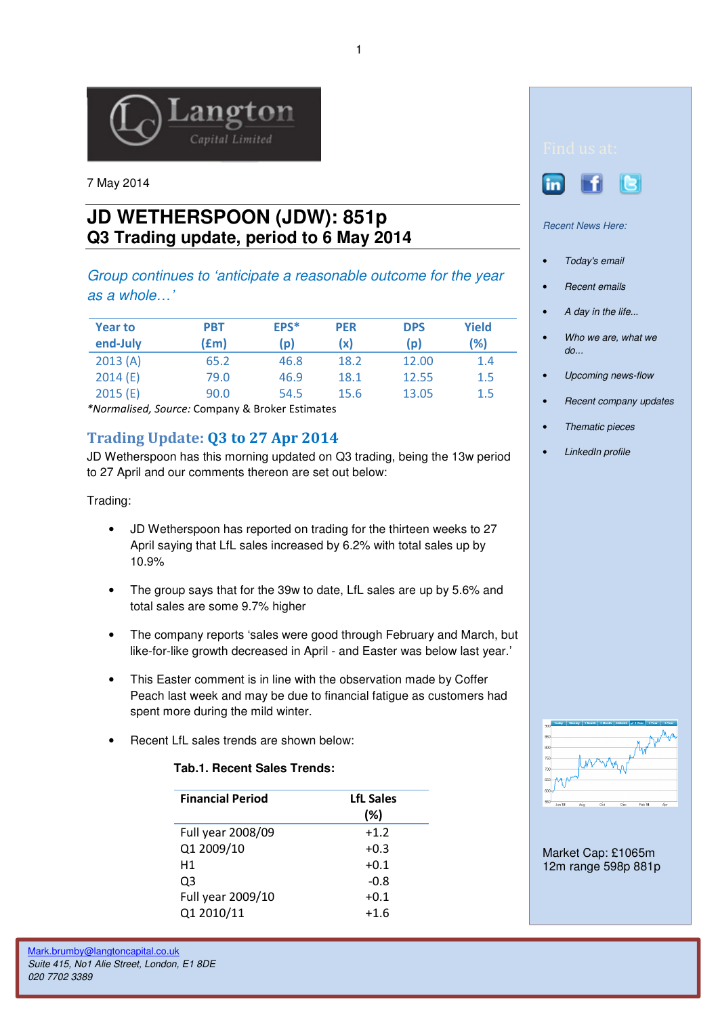

7 May 2014

## **JD WETHERSPOON (JDW): 851p Q3 Trading update, period to 6 May 2014**

Group continues to 'anticipate a reasonable outcome for the year as a whole…'

| <b>Year to</b><br>end-July | <b>PBT</b><br>(£m) | EPS*<br>(p) | <b>PER</b><br>(x) | <b>DPS</b><br>(p) | Yield<br>(%) |
|----------------------------|--------------------|-------------|-------------------|-------------------|--------------|
| 2013(A)                    | 65.2               | 46.8        | 18.2              | 12.00             | 1.4          |
| 2014(E)                    | 79.0               | 46.9        | 18.1              | 12.55             | 1.5          |
| 2015(E)                    | 90.0               | 54.5        | 15.6              | 13.05             | 1.5          |

\*Normalised, Source: Company & Broker Estimates

## Trading Update: Q3 to 27 Apr 2014

JD Wetherspoon has this morning updated on Q3 trading, being the 13w period to 27 April and our comments thereon are set out below:

Trading:

- JD Wetherspoon has reported on trading for the thirteen weeks to 27 April saying that LfL sales increased by 6.2% with total sales up by 10.9%
- The group says that for the 39w to date, LfL sales are up by 5.6% and total sales are some 9.7% higher
- The company reports 'sales were good through February and March, but like-for-like growth decreased in April - and Easter was below last year.'
- This Easter comment is in line with the observation made by Coffer Peach last week and may be due to financial fatigue as customers had spent more during the mild winter.
- Recent LfL sales trends are shown below:

## **Tab.1. Recent Sales Trends:**

| <b>Financial Period</b> | <b>LfL Sales</b><br>(%) |
|-------------------------|-------------------------|
| Full year 2008/09       | $+1.2$                  |
| Q1 2009/10              | $+0.3$                  |
| H1                      | $+0.1$                  |
| Q3                      | $-0.8$                  |
| Full year 2009/10       | $+0.1$                  |
| Q1 2010/11              | $+1.6$                  |





Recent News Here:

- Today's email
- **Recent emails**
- A day in the life...
- Who we are, what we  $d\rho$ ...
- Upcoming news-flow
- Recent company updates
- Thematic pieces
- LinkedIn profile



Market Cap: £1065m 12m range 598p 881p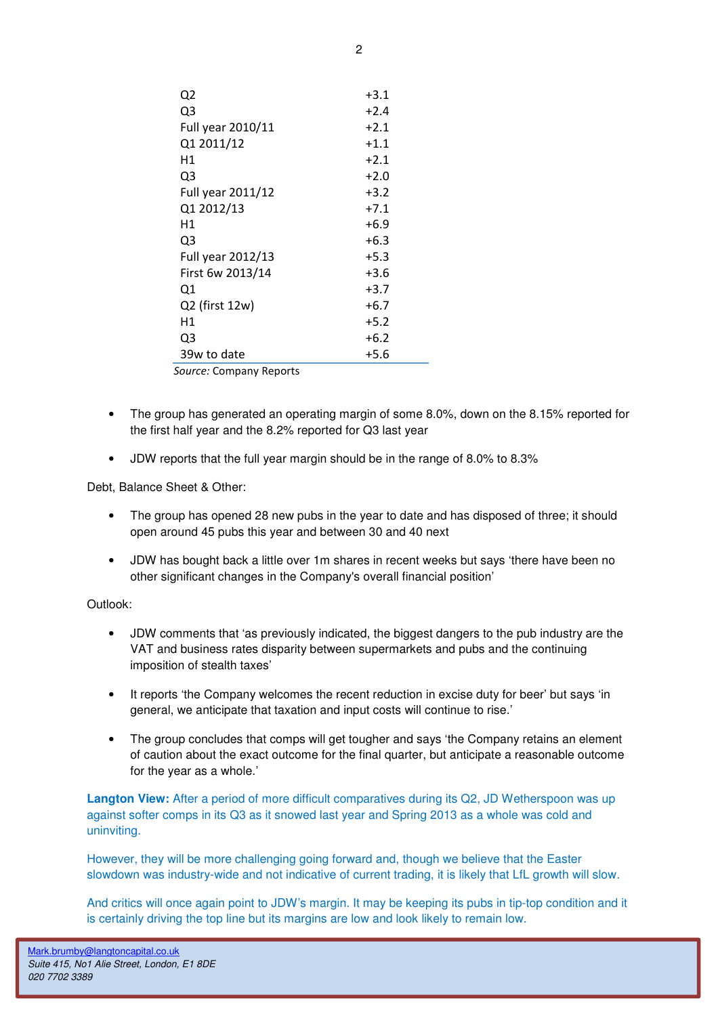| Q <sub>2</sub>    | $+3.1$ |
|-------------------|--------|
| Q3                | $+2.4$ |
| Full year 2010/11 | $+2.1$ |
| Q1 2011/12        | $+1.1$ |
| Н1                | $+2.1$ |
| Q3                | $+2.0$ |
| Full year 2011/12 | $+3.2$ |
| Q1 2012/13        | $+7.1$ |
| Н1                | +6.9   |
| Q3                | $+6.3$ |
| Full year 2012/13 | $+5.3$ |
| First 6w 2013/14  | $+3.6$ |
| Q1                | $+3.7$ |
| Q2 (first 12w)    | $+6.7$ |
| Η1                | $+5.2$ |
| Q3                | $+6.2$ |
| 39w to date       | $+5.6$ |
|                   |        |

Source: Company Reports

- The group has generated an operating margin of some 8.0%, down on the 8.15% reported for the first half year and the 8.2% reported for Q3 last year
- JDW reports that the full year margin should be in the range of 8.0% to 8.3%

Debt, Balance Sheet & Other:

- The group has opened 28 new pubs in the year to date and has disposed of three; it should open around 45 pubs this year and between 30 and 40 next
- JDW has bought back a little over 1m shares in recent weeks but says 'there have been no other significant changes in the Company's overall financial position'

Outlook:

- JDW comments that 'as previously indicated, the biggest dangers to the pub industry are the VAT and business rates disparity between supermarkets and pubs and the continuing imposition of stealth taxes'
- It reports 'the Company welcomes the recent reduction in excise duty for beer' but says 'in general, we anticipate that taxation and input costs will continue to rise.'
- The group concludes that comps will get tougher and says 'the Company retains an element of caution about the exact outcome for the final quarter, but anticipate a reasonable outcome for the year as a whole.'

**Langton View:** After a period of more difficult comparatives during its Q2, JD Wetherspoon was up against softer comps in its Q3 as it snowed last year and Spring 2013 as a whole was cold and uninviting.

However, they will be more challenging going forward and, though we believe that the Easter slowdown was industry-wide and not indicative of current trading, it is likely that LfL growth will slow.

And critics will once again point to JDW's margin. It may be keeping its pubs in tip-top condition and it is certainly driving the top line but its margins are low and look likely to remain low.